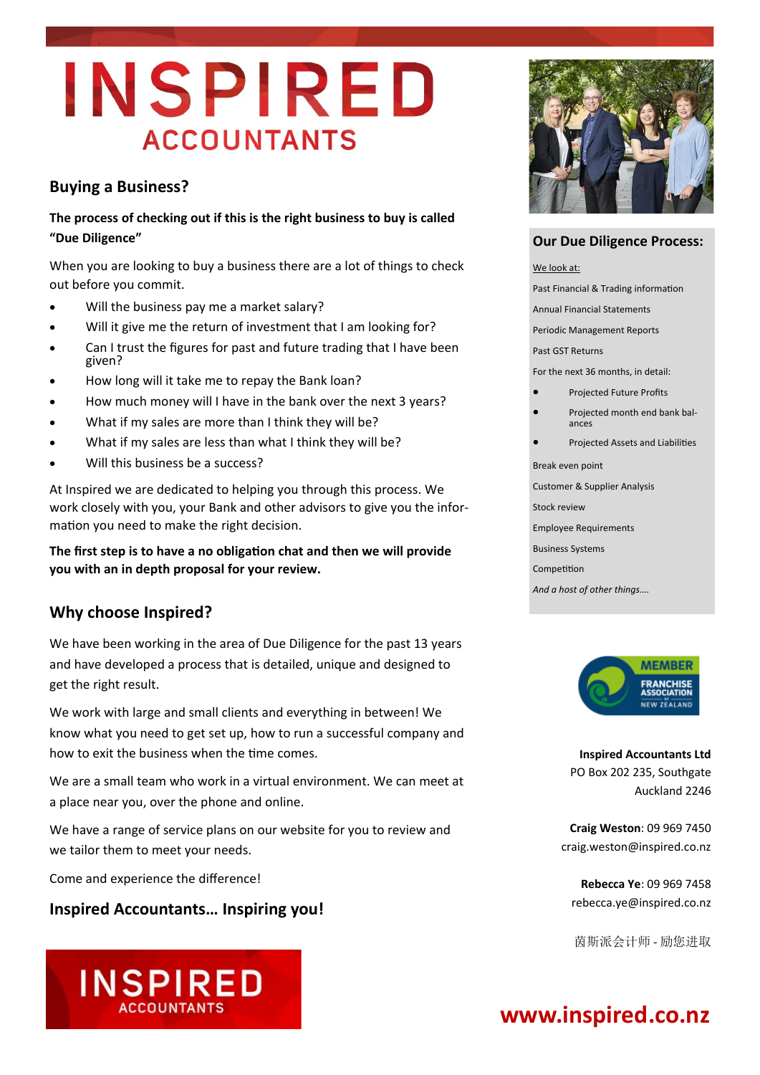# INSPIRED **ACCOUNTANTS**

#### **Buying a Business?**

#### **The process of checking out if this is the right business to buy is called "Due Diligence"**

When you are looking to buy a business there are a lot of things to check out before you commit.

- Will the business pay me a market salary?
- Will it give me the return of investment that I am looking for?
- Can I trust the figures for past and future trading that I have been given?
- How long will it take me to repay the Bank loan?
- How much money will I have in the bank over the next 3 years?
- What if my sales are more than I think they will be?
- What if my sales are less than what I think they will be?
- Will this business be a success?

At Inspired we are dedicated to helping you through this process. We work closely with you, your Bank and other advisors to give you the information you need to make the right decision.

**The first step is to have a no obligation chat and then we will provide you with an in depth proposal for your review.**

#### **Why choose Inspired?**

We have been working in the area of Due Diligence for the past 13 years and have developed a process that is detailed, unique and designed to get the right result.

We work with large and small clients and everything in between! We know what you need to get set up, how to run a successful company and how to exit the business when the time comes.

We are a small team who work in a virtual environment. We can meet at a place near you, over the phone and online.

We have a range of service plans on our website for you to review and we tailor them to meet your needs.

Come and experience the difference!

#### **Inspired Accountants… Inspiring you!**

INSPIRED



#### **Our Due Diligence Process:**

We look at:

Past Financial & Trading information

Annual Financial Statements

Periodic Management Reports

Past GST Returns

For the next 36 months, in detail:

- Projected Future Profits
- Projected month end bank balances
- Projected Assets and Liabilities

Break even point

Customer & Supplier Analysis

Stock review

Employee Requirements

Business Systems

Competition

*And a host of other things….*



**Inspired Accountants Ltd** PO Box 202 235, Southgate Auckland 2246

**Craig Weston**: 09 969 7450 craig.weston@inspired.co.nz

**Rebecca Ye**: 09 969 7458 rebecca.ye@inspired.co.nz

茵斯派会计师 - 励您进取

## **www.inspired.co.nz**